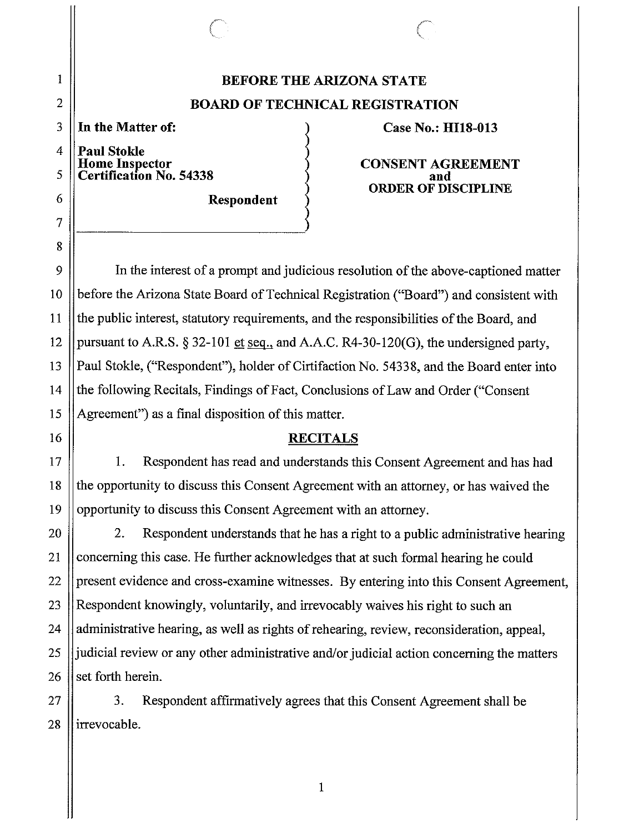## **BEFORE THE ARIZONA STATE BOARD OF TECHNICAL REGISTRATION**

**In the Matter of:** 

**Paul Stokle Home Inspector Certification No. 54338** 

**Respondent** 

**Case No.: HllS-013** 

**CONSENT AGREEMENT and ORDER OF DISCIPLINE** 

In the interest of a prompt and judicious resolution of the above-captioned matter before the Arizona State Board of Technical Registration ("Board") and consistent with the public interest, statutory requirements, and the responsibilities of the Board, and pursuant to A.R.S. § 32-101 et seq., and A.A.C. R4-30-120(G), the undersigned party, Paul Stokle, ("Respondent"), holder of Cirtifaction No. 54338, and the Board enter into the following Recitals, Findings of Fact, Conclusions of Law and Order ("Consent" Agreement") as a final disposition of this matter.

## **RECITALS**

I. Respondent has read and understands this Consent Agreement and has had the opportunity to discuss this Consent Agreement with an attorney, or has waived the opportunity to discuss this Consent Agreement with an attorney.

2. Respondent understands that he has a right to a public administrative hearing concerning this case. He further acknowledges that at such formal hearing he could present evidence and cross-examine witnesses. By entering into this Consent Agreement, Respondent knowingly, voluntarily, and irrevocably waives his right to such an administrative hearing, as well as rights of rehearing, review, reconsideration, appeal, judicial review or any other administrative and/or judicial action concerning the matters set forth herein.

1

3. Respondent affirmatively agrees that this Consent Agreement shall be irrevocable.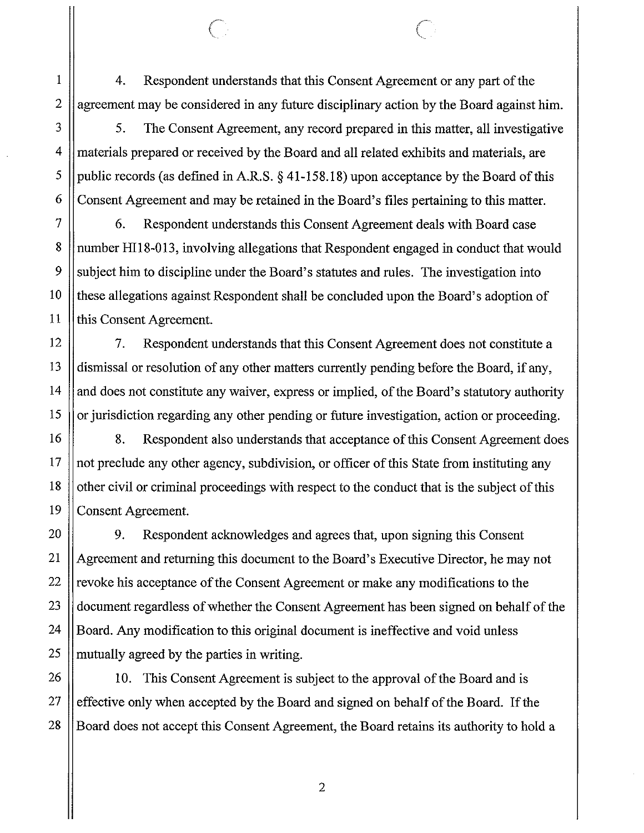4. Respondent understands that this Consent Agreement or any part of the agreement may be considered in any future disciplinary action by the Board against him.

5. The Consent Agreement, any record prepared in this matter, all investigative materials prepared or received by the Board and all related exhibits and materials, are public records (as defined in A.R.S. § [41-158.18](https://41-158.18)) upon acceptance by the Board of this Consent Agreement and may be retained in the Board's files pertaining to this matter.

6. Respondent understands this Consent Agreement deals with Board case number Hil8-013, involving allegations that Respondent engaged in conduct that would subject him to discipline under the Board's statutes and rules. The investigation into these allegations against Respondent shall be concluded upon the Board's adoption of this Consent Agreement.

7. Respondent understands that this Consent Agreement does not constitute a dismissal or resolution of any other matters currently pending before the Board, if any, and does not constitute any waiver, express or implied, of the Board's statutory authority or jurisdiction regarding any other pending or future investigation, action or proceeding.

8. Respondent also understands that acceptance of this Consent Agreement does not preclude any other agency, subdivision, or officer of this State from instituting any other civil or criminal proceedings with respect to the conduct that is the subject of this Consent Agreement.

9. Respondent acknowledges and agrees that, upon signing this Consent Agreement and returning this document to the Board's Executive Director, he may not revoke his acceptance of the Consent Agreement or make any modifications to the document regardless of whether the Consent Agreement has been signed on behalf of the Board. Any modification to this original document is ineffective and void unless mutually agreed by the parties in writing.

10. This Consent Agreement is subject to the approval of the Board and is effective only when accepted by the Board and signed on behalf of the Board. If the Board does not accept this Consent Agreement, the Board retains its authority to hold a

1

2

3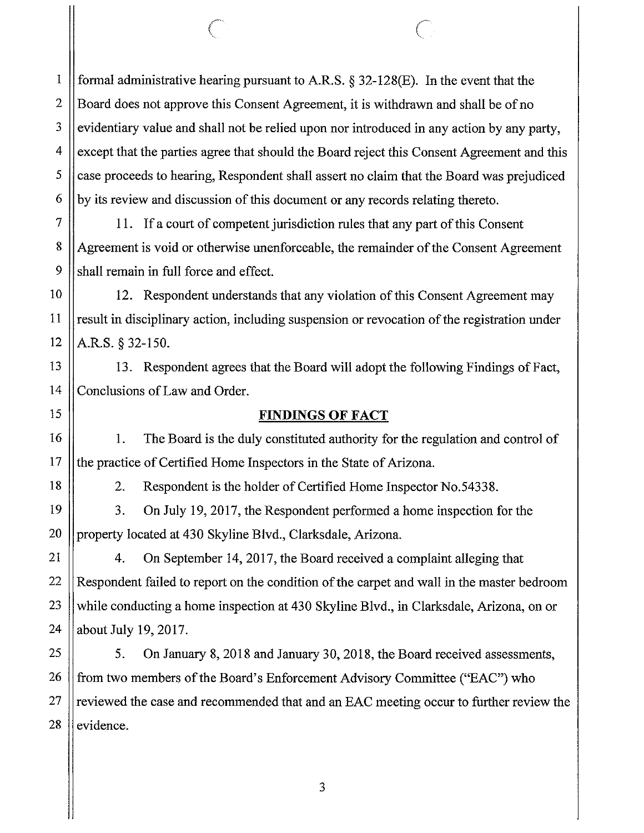formal administrative hearing pursuant to A.R.S. § 32-128(E). In the event that the Board does not approve this Consent Agreement, it is withdrawn and shall be of no evidentiary value and shall not be relied upon nor introduced in any action by any party, except that the parties agree that should the Board reject this Consent Agreement and this case proceeds to hearing, Respondent shall assert no claim that the Board was prejudiced by its review and discussion of this document or any records relating thereto.

11. If a court of competent jurisdiction rules that any part of this Consent Agreement is void or otherwise unenforceable, the remainder of the Consent Agreement shall remain in full force and effect.

12. Respondent understands that any violation of this Consent Agreement may result in disciplinary action, including suspension or revocation of the registration under A.R.S. § 32-150.

13. Respondent agrees that the Board will adopt the following Findings of Fact, Conclusions of Law and Order.

## **FINDINGS OF FACT**

1. The Board is the duly constituted authority for the regulation and control of the practice of Certified Home Inspectors in the State of Arizona.

1

2

3

4

5

6

7

8

9

10

11

12

13

14

15

16

17

18

19

20

21

22

23

24

25

27

28

2. Respondent is the holder of Certified Home Inspector No.54338.

3. On July 19, 2017, the Respondent performed a home inspection for the property located at 430 Skyline Blvd., Clarksdale, Arizona.

4. On September 14, 2017, the Board received a complaint alleging that Respondent failed to report on the condition of the carpet and wall in the master bedroom while conducting a home inspection at 430 Skyline Blvd., in Clarksdale, Arizona, on or about July 19, 2017.

26 5. On January 8, 2018 and January 30, 2018, the Board received assessments, from two members of the Board's Enforcement Advisory Committee ("EAC") who reviewed the case and recommended that and an EAC meeting occur to further review the evidence.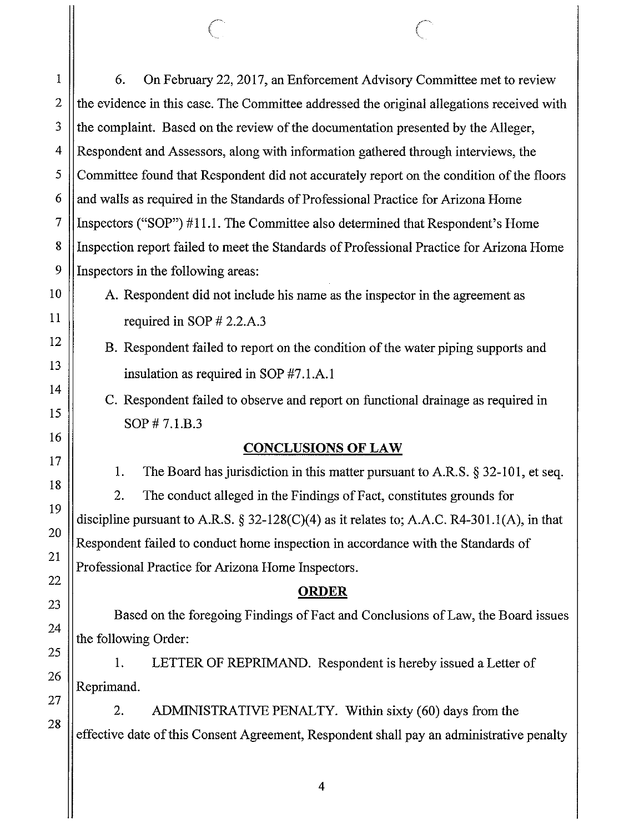2 3 4 5 6 7 8 9 10 11 12 13 14 15 16 17 18 19 20 21 22 23 24 25 26 27 28 the evidence in this case. The Committee addressed the original allegations received with the complaint. Based on the review of the documentation presented by the Alleger, Respondent and Assessors, along with information gathered through interviews, the Committee found that Respondent did not accurately report on the condition of the floors and walls as required in the Standards of Professional Practice for Arizona Home Inspectors ("SOP")  $#11.1$ . The Committee also determined that Respondent's Home Inspection report failed to meet the Standards of Professional Practice for Arizona Home Inspectors in the following areas: A. Respondent did not include his name as the inspector in the agreement as required in SOP # 2.2.A.3 B. Respondent failed to report on the condition of the water piping supports and insulation as required in SOP #7.1.A.1 C. Respondent failed to observe and report on functional drainage as required in SOP# 7.1.B.3 **CONCLUSIONS OF LAW**  1. The Board has jurisdiction in this matter pursuant to A.R.S. § 32-101, et seq. 2. The conduct alleged in the Findings of Fact, constitutes grounds for discipline pursuant to A.R.S.  $\S 32-128(C)(4)$  as it relates to; A.A.C. R4-301.1(A), in that Respondent failed to conduct home inspection in accordance with the Standards of Professional Practice for Arizona Home Inspectors. **ORDER**  Based on the foregoing Findings of Fact and Conclusions of Law, the Board issues the following Order: 1. LETTER OF REPRIMAND. Respondent is hereby issued a Letter of Reprimand. 2. ADMINISTRATIVE PENALTY. Within sixty (60) days from the effective date of this Consent Agreement, Respondent shall pay an administrative penalty 4

6. On February 22, 2017, an Enforcement Advisory Committee met to review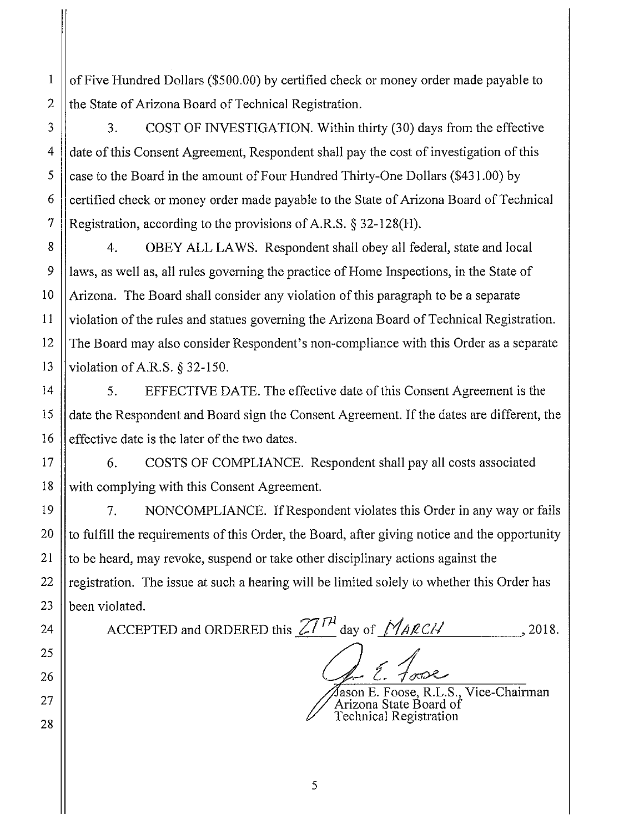of Five Hundred Dollars (\$500.00) by certified check or money order made payable to the State of Arizona Board of Technical Registration.

3. COST OF INVESTIGATION. Within thirty (30) days from the effective date of this Consent Agreement, Respondent shall pay the cost of investigation of this case to the Board in the amount of Four Hundred Thirty-One Dollars (\$431.00) by certified check or money order made payable to the State of Arizona Board of Technical Registration, according to the provisions of A.R.S. § 32-128(H).

4. OBEY ALL LAWS. Respondent shall obey all federal, state and local laws, as well as, all rules governing the practice of Home Inspections, in the State of Arizona. The Board shall consider any violation of this paragraph to be a separate violation of the rules and statues governing the Arizona Board of Technical Registration. The Board may also consider Respondent's non-compliance with this Order as a separate violation of A.R.S. § 32-150.

5. EFFECTIVE DATE. The effective date of this Consent Agreement is the date the Respondent and Board sign the Consent Agreement. If the dates are different, the effective date is the later of the two dates.

6. COSTS OF COMPLIANCE. Respondent shall pay all costs associated with complying with this Consent Agreement.

7. NONCOMPLIANCE. If Respondent violates this Order in any way or fails to fulfill the requirements of this Order, the Board, after giving notice and the opportunity to be heard, may revoke, suspend or take other disciplinary actions against the registration. The issue at such a hearing will be limited solely to whether this Order has been violated.

ACCEPTED and ORDERED this  $ZT^{rH}$  day of  $M_{A\ell C}/I$  , 2018.

2. *Fo*rce<br>ason E. Foose, R.L.S., Vice-Chairman

Arizona State Board of Technical Registration

1

2

3

4

5

6